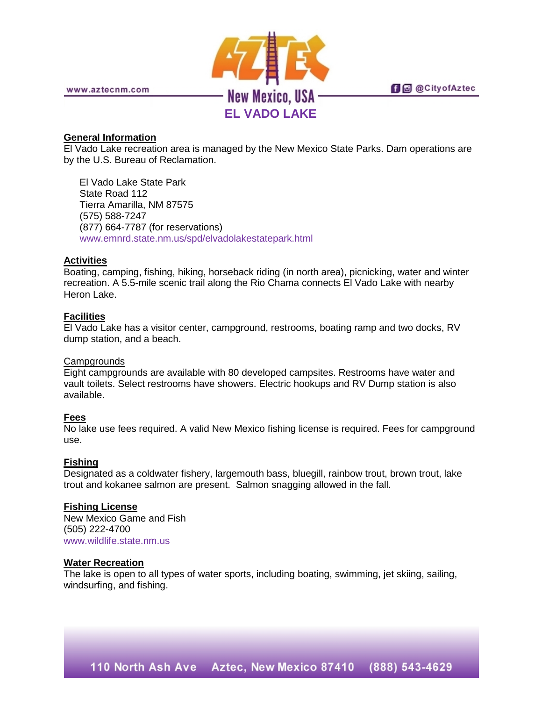

www.aztecnm.com

**fi d** @CityofAztec

# **General Information**

El Vado Lake recreation area is managed by the New Mexico State Parks. Dam operations are by the U.S. Bureau of Reclamation.

El Vado Lake State Park State Road 112 Tierra Amarilla, NM 87575 (575) 588-7247 (877) 664-7787 (for reservations) [www.emnrd.state.nm.us/spd/elvadolakestatepark.html](http://www.emnrd.state.nm.us/spd/elvadolakestatepark.html)

# **Activities**

Boating, camping, fishing, hiking, horseback riding (in north area), picnicking, water and winter recreation. A 5.5-mile scenic trail along the Rio Chama connects El Vado Lake with nearby Heron Lake.

# **Facilities**

El Vado Lake has a visitor center, campground, restrooms, boating ramp and two docks, RV dump station, and a beach.

## **Campgrounds**

Eight campgrounds are available with 80 developed campsites. Restrooms have water and vault toilets. Select restrooms have showers. Electric hookups and RV Dump station is also available.

## **Fees**

No lake use fees required. A valid New Mexico fishing license is required. Fees for campground use.

## **Fishing**

Designated as a coldwater fishery, largemouth bass, bluegill, rainbow trout, brown trout, lake trout and kokanee salmon are present. Salmon snagging allowed in the fall.

## **Fishing License**

New Mexico Game and Fish (505) 222-4700 [www.wildlife.state.nm.us](http://www.wildlife.state.nm.us/)

## **Water Recreation**

The lake is open to all types of water sports, including boating, swimming, jet skiing, sailing, windsurfing, and fishing.